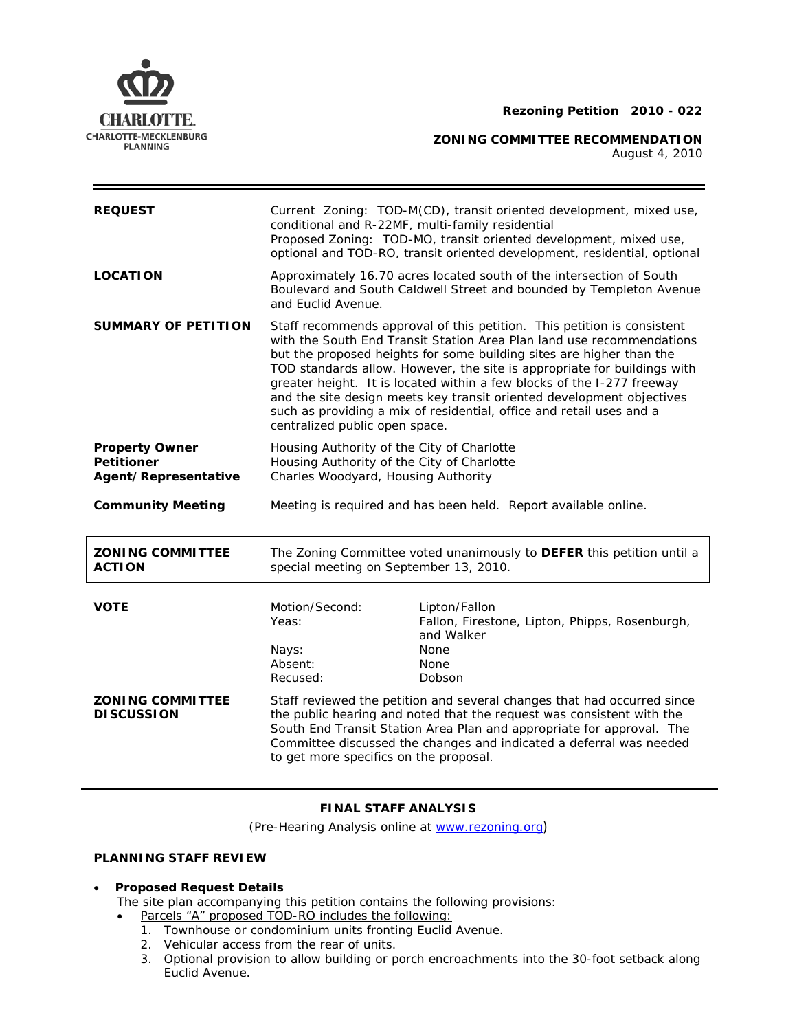



**ZONING COMMITTEE RECOMMENDATION** 

August 4, 2010

| <b>REQUEST</b>                                                     | Current Zoning: TOD-M(CD), transit oriented development, mixed use,<br>conditional and R-22MF, multi-family residential<br>Proposed Zoning: TOD-MO, transit oriented development, mixed use,<br>optional and TOD-RO, transit oriented development, residential, optional                                                                                                                                                                                                                                                                                          |                                                                                                                |
|--------------------------------------------------------------------|-------------------------------------------------------------------------------------------------------------------------------------------------------------------------------------------------------------------------------------------------------------------------------------------------------------------------------------------------------------------------------------------------------------------------------------------------------------------------------------------------------------------------------------------------------------------|----------------------------------------------------------------------------------------------------------------|
| <b>LOCATION</b>                                                    | Approximately 16.70 acres located south of the intersection of South<br>Boulevard and South Caldwell Street and bounded by Templeton Avenue<br>and Euclid Avenue.                                                                                                                                                                                                                                                                                                                                                                                                 |                                                                                                                |
| <b>SUMMARY OF PETITION</b>                                         | Staff recommends approval of this petition. This petition is consistent<br>with the South End Transit Station Area Plan land use recommendations<br>but the proposed heights for some building sites are higher than the<br>TOD standards allow. However, the site is appropriate for buildings with<br>greater height. It is located within a few blocks of the I-277 freeway<br>and the site design meets key transit oriented development objectives<br>such as providing a mix of residential, office and retail uses and a<br>centralized public open space. |                                                                                                                |
| <b>Property Owner</b><br><b>Petitioner</b><br>Agent/Representative | Housing Authority of the City of Charlotte<br>Housing Authority of the City of Charlotte<br>Charles Woodyard, Housing Authority                                                                                                                                                                                                                                                                                                                                                                                                                                   |                                                                                                                |
| <b>Community Meeting</b>                                           | Meeting is required and has been held. Report available online.                                                                                                                                                                                                                                                                                                                                                                                                                                                                                                   |                                                                                                                |
| <b>ZONING COMMITTEE</b><br><b>ACTION</b>                           | The Zoning Committee voted unanimously to <b>DEFER</b> this petition until a<br>special meeting on September 13, 2010.                                                                                                                                                                                                                                                                                                                                                                                                                                            |                                                                                                                |
| <b>VOTE</b>                                                        | Motion/Second:                                                                                                                                                                                                                                                                                                                                                                                                                                                                                                                                                    |                                                                                                                |
|                                                                    | Yeas:<br>Nays:<br>Absent:<br>Recused:                                                                                                                                                                                                                                                                                                                                                                                                                                                                                                                             | Lipton/Fallon<br>Fallon, Firestone, Lipton, Phipps, Rosenburgh,<br>and Walker<br>None<br><b>None</b><br>Dobson |

# **FINAL STAFF ANALYSIS**

(Pre-Hearing Analysis online at [www.rezoning.org](http://www.rezoning.org/))

## **PLANNING STAFF REVIEW**

## • **Proposed Request Details**

The site plan accompanying this petition contains the following provisions:

- Parcels "A" proposed TOD-RO includes the following:
	- 1. Townhouse or condominium units fronting Euclid Avenue.
	- 2. Vehicular access from the rear of units.
	- 3. Optional provision to allow building or porch encroachments into the 30-foot setback along Euclid Avenue.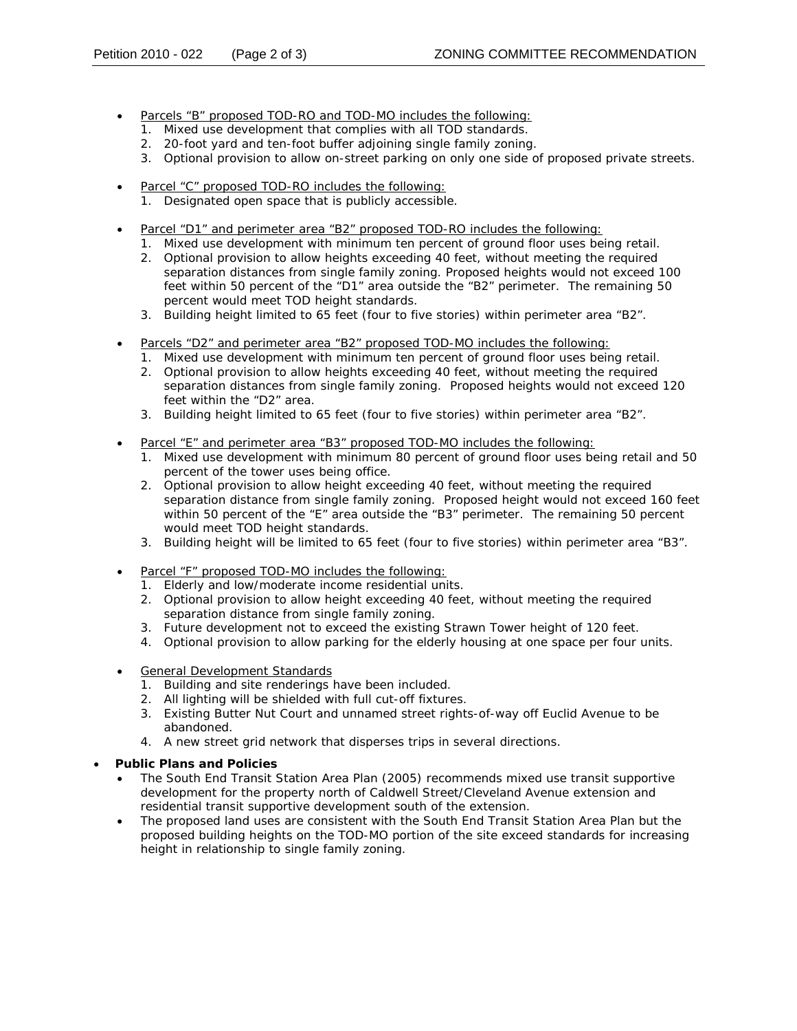- Parcels "B" proposed TOD-RO and TOD-MO includes the following:
	- 1. Mixed use development that complies with all TOD standards.
	- 2. 20-foot yard and ten-foot buffer adjoining single family zoning.
	- proposed private streets. 3. Optional provision to allow on-street parking on only one side of
- Parcel "C" proposed TOD-RO includes the following:
	- . 1. Designated open space that is publicly accessible
- Parcel "D1" and perimeter area "B2" proposed TOD-RO includes the following:
	- 1. Mixed use development with minimum ten percent of ground floor uses being retail.
	- separation distances from single family zoning. Proposed heights would not exceed 100 2. Optional provision to allow heights exceeding 40 feet, without meeting the required feet within 50 percent of the "D1" area outside the "B2" perimeter. The remaining 50 percent would meet TOD height standards.
	- 3. Building height limited to 65 feet (four to five stories) within perimeter area "B2".
- Parcels "D2" and perimeter area "B2" proposed TOD-MO includes the following:
	- 1. Mixed use development with minimum ten percent of ground floor uses being retail.
	- separation distances from single family zoning. Proposed heights would not exceed 120 2. Optional provision to allow heights exceeding 40 feet, without meeting the required feet within the "D2" area.
	- 3. Building height limited to 65 feet (four to five stories) within perimeter area "B2".
- Parcel "E" and perimeter area "B3" proposed TOD-MO includes the following:
	- 1. Mixed use development with minimum 80 percent of ground floor uses being retail and 50 percent of the tower uses being office.
	- 2. Optional provision to allow height exceeding 40 feet, without meeting the required separation distance from single family zoning. Proposed height would not exceed 160 feet within 50 percent of the "E" area outside the "B3" perimeter. The remaining 50 percent would meet TOD height standards.
	- 3. Building height will be limited to 65 feet (four to five stories) within perimeter area "B3".
- Parcel "F" proposed TOD-MO includes the following:
	- 1. Elderly and low/moderate income residential units.
	- 2. Optional provision to allow height exceeding 40 feet, without meeting the required separation distance from single family zoning.
	- 3. Future development not to exceed the existing Strawn Tower height of 120 feet.
	- 4. Optional provision to allow parking for the elderly housing at one space per four units.
- General Development Standards
	- 1. Building and site renderings have been included.
	- . 2. All lighting will be shielded with full cut-off fixtures
	- 3. Existing Butter Nut Court and unnamed street rights-of-way off Euclid Avenue to be abandoned.
	- 4. A new street grid network that disperses trips in several directions.
- **Public Plans and Policies**
	- The *South End Transit Station Area Plan* (2005) recommends mixed use transit supportive development for the property north of Caldwell Street/Cleveland Avenue extension and residential transit supportive development south of the extension.
	- The proposed land uses are consistent with the *South End Transit Station Area Plan* but the proposed building heights on the TOD-MO portion of the site exceed standards for increasing height in relationship to single family zoning.